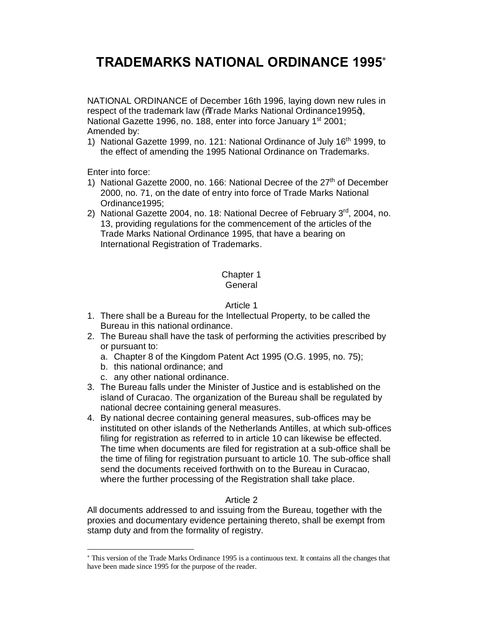# **TRADEMARKS NATIONAL ORDINANCE 1995**\*

NATIONAL ORDINANCE of December 16th 1996, laying down new rules in respect of the trademark law ( $\sqrt{a}$ rade Marks National Ordinance1995+), National Gazette 1996, no. 188, enter into force January 1<sup>st</sup> 2001; Amended by:

1) National Gazette 1999, no. 121: National Ordinance of July 16th 1999, to the effect of amending the 1995 National Ordinance on Trademarks.

Enter into force:

 $\overline{a}$ 

- 1) National Gazette 2000, no. 166: National Decree of the 27<sup>th</sup> of December 2000, no. 71, on the date of entry into force of Trade Marks National Ordinance1995;
- 2) National Gazette 2004, no. 18: National Decree of February  $3<sup>rd</sup>$ , 2004, no. 13, providing regulations for the commencement of the articles of the Trade Marks National Ordinance 1995, that have a bearing on International Registration of Trademarks.

### Chapter 1 **General**

# Article 1

- 1. There shall be a Bureau for the Intellectual Property, to be called the Bureau in this national ordinance.
- 2. The Bureau shall have the task of performing the activities prescribed by or pursuant to:
	- a. Chapter 8 of the Kingdom Patent Act 1995 (O.G. 1995, no. 75);
	- b. this national ordinance; and
	- c. any other national ordinance.
- 3. The Bureau falls under the Minister of Justice and is established on the island of Curacao. The organization of the Bureau shall be regulated by national decree containing general measures.
- 4. By national decree containing general measures, sub-offices may be instituted on other islands of the Netherlands Antilles, at which sub-offices filing for registration as referred to in article 10 can likewise be effected. The time when documents are filed for registration at a sub-office shall be the time of filing for registration pursuant to article 10. The sub-office shall send the documents received forthwith on to the Bureau in Curacao, where the further processing of the Registration shall take place.

# Article 2

All documents addressed to and issuing from the Bureau, together with the proxies and documentary evidence pertaining thereto, shall be exempt from stamp duty and from the formality of registry.

<sup>\*</sup> This version of the Trade Marks Ordinance 1995 is a continuous text. It contains all the changes that have been made since 1995 for the purpose of the reader.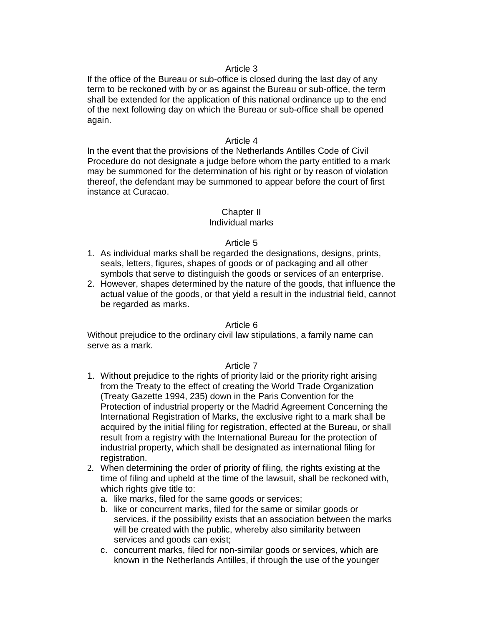If the office of the Bureau or sub-office is closed during the last day of any term to be reckoned with by or as against the Bureau or sub-office, the term shall be extended for the application of this national ordinance up to the end of the next following day on which the Bureau or sub-office shall be opened again.

### Article 4

In the event that the provisions of the Netherlands Antilles Code of Civil Procedure do not designate a judge before whom the party entitled to a mark may be summoned for the determination of his right or by reason of violation thereof, the defendant may be summoned to appear before the court of first instance at Curacao.

### Chapter II

### Individual marks

### Article 5

- 1. As individual marks shall be regarded the designations, designs, prints, seals, letters, figures, shapes of goods or of packaging and all other symbols that serve to distinguish the goods or services of an enterprise.
- 2. However, shapes determined by the nature of the goods, that influence the actual value of the goods, or that yield a result in the industrial field, cannot be regarded as marks.

### Article 6

Without prejudice to the ordinary civil law stipulations, a family name can serve as a mark.

- 1. Without prejudice to the rights of priority laid or the priority right arising from the Treaty to the effect of creating the World Trade Organization (Treaty Gazette 1994, 235) down in the Paris Convention for the Protection of industrial property or the Madrid Agreement Concerning the International Registration of Marks, the exclusive right to a mark shall be acquired by the initial filing for registration, effected at the Bureau, or shall result from a registry with the International Bureau for the protection of industrial property, which shall be designated as international filing for registration.
- 2. When determining the order of priority of filing, the rights existing at the time of filing and upheld at the time of the lawsuit, shall be reckoned with, which rights give title to:
	- a. like marks, filed for the same goods or services;
	- b. like or concurrent marks, filed for the same or similar goods or services, if the possibility exists that an association between the marks will be created with the public, whereby also similarity between services and goods can exist;
	- c. concurrent marks, filed for non-similar goods or services, which are known in the Netherlands Antilles, if through the use of the younger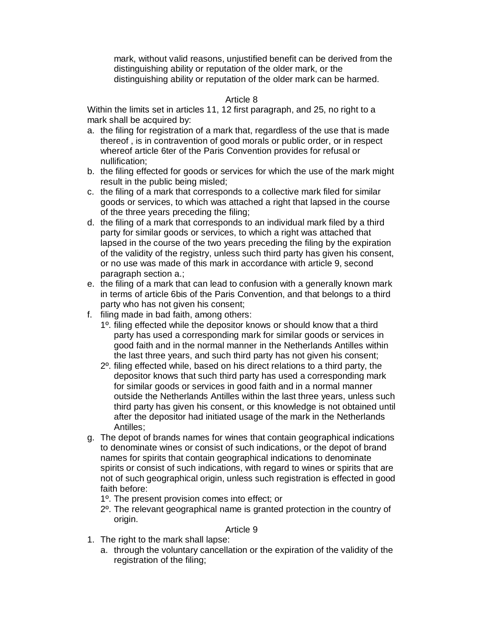mark, without valid reasons, unjustified benefit can be derived from the distinguishing ability or reputation of the older mark, or the distinguishing ability or reputation of the older mark can be harmed.

# Article 8

Within the limits set in articles 11, 12 first paragraph, and 25, no right to a mark shall be acquired by:

- a. the filing for registration of a mark that, regardless of the use that is made thereof , is in contravention of good morals or public order, or in respect whereof article 6ter of the Paris Convention provides for refusal or nullification;
- b. the filing effected for goods or services for which the use of the mark might result in the public being misled;
- c. the filing of a mark that corresponds to a collective mark filed for similar goods or services, to which was attached a right that lapsed in the course of the three years preceding the filing;
- d. the filing of a mark that corresponds to an individual mark filed by a third party for similar goods or services, to which a right was attached that lapsed in the course of the two years preceding the filing by the expiration of the validity of the registry, unless such third party has given his consent, or no use was made of this mark in accordance with article 9, second paragraph section a.;
- e. the filing of a mark that can lead to confusion with a generally known mark in terms of article 6bis of the Paris Convention, and that belongs to a third party who has not given his consent;
- f. filing made in bad faith, among others:
	- 1º. filing effected while the depositor knows or should know that a third party has used a corresponding mark for similar goods or services in good faith and in the normal manner in the Netherlands Antilles within the last three years, and such third party has not given his consent;
	- 2º. filing effected while, based on his direct relations to a third party, the depositor knows that such third party has used a corresponding mark for similar goods or services in good faith and in a normal manner outside the Netherlands Antilles within the last three years, unless such third party has given his consent, or this knowledge is not obtained until after the depositor had initiated usage of the mark in the Netherlands Antilles;
- g. The depot of brands names for wines that contain geographical indications to denominate wines or consist of such indications, or the depot of brand names for spirits that contain geographical indications to denominate spirits or consist of such indications, with regard to wines or spirits that are not of such geographical origin, unless such registration is effected in good faith before:
	- 1º. The present provision comes into effect; or
	- 2º. The relevant geographical name is granted protection in the country of origin.

- 1. The right to the mark shall lapse:
	- a. through the voluntary cancellation or the expiration of the validity of the registration of the filing;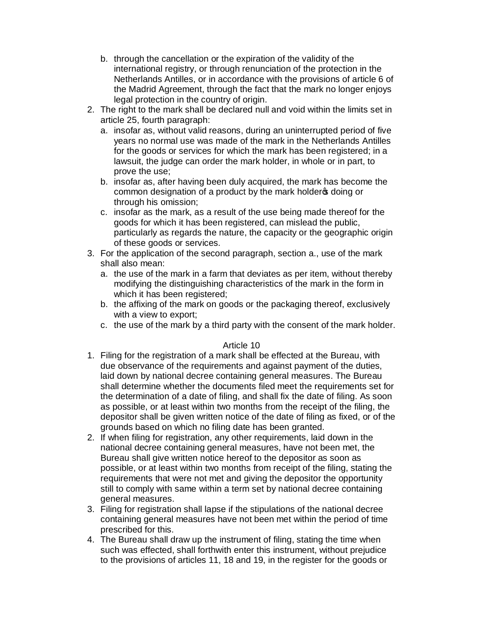- b. through the cancellation or the expiration of the validity of the international registry, or through renunciation of the protection in the Netherlands Antilles, or in accordance with the provisions of article 6 of the Madrid Agreement, through the fact that the mark no longer enjoys legal protection in the country of origin.
- 2. The right to the mark shall be declared null and void within the limits set in article 25, fourth paragraph:
	- a. insofar as, without valid reasons, during an uninterrupted period of five years no normal use was made of the mark in the Netherlands Antilles for the goods or services for which the mark has been registered; in a lawsuit, the judge can order the mark holder, in whole or in part, to prove the use;
	- b. insofar as, after having been duly acquired, the mark has become the common designation of a product by the mark holder to doing or through his omission;
	- c. insofar as the mark, as a result of the use being made thereof for the goods for which it has been registered, can mislead the public, particularly as regards the nature, the capacity or the geographic origin of these goods or services.
- 3. For the application of the second paragraph, section a., use of the mark shall also mean:
	- a. the use of the mark in a farm that deviates as per item, without thereby modifying the distinguishing characteristics of the mark in the form in which it has been registered;
	- b. the affixing of the mark on goods or the packaging thereof, exclusively with a view to export;
	- c. the use of the mark by a third party with the consent of the mark holder.

- 1. Filing for the registration of a mark shall be effected at the Bureau, with due observance of the requirements and against payment of the duties, laid down by national decree containing general measures. The Bureau shall determine whether the documents filed meet the requirements set for the determination of a date of filing, and shall fix the date of filing. As soon as possible, or at least within two months from the receipt of the filing, the depositor shall be given written notice of the date of filing as fixed, or of the grounds based on which no filing date has been granted.
- 2. If when filing for registration, any other requirements, laid down in the national decree containing general measures, have not been met, the Bureau shall give written notice hereof to the depositor as soon as possible, or at least within two months from receipt of the filing, stating the requirements that were not met and giving the depositor the opportunity still to comply with same within a term set by national decree containing general measures.
- 3. Filing for registration shall lapse if the stipulations of the national decree containing general measures have not been met within the period of time prescribed for this.
- 4. The Bureau shall draw up the instrument of filing, stating the time when such was effected, shall forthwith enter this instrument, without prejudice to the provisions of articles 11, 18 and 19, in the register for the goods or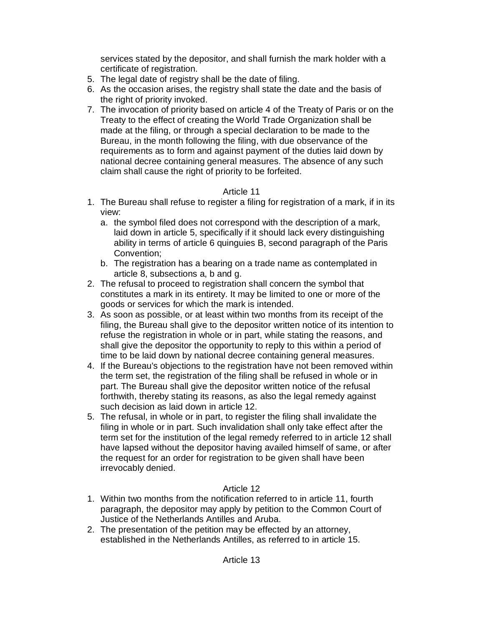services stated by the depositor, and shall furnish the mark holder with a certificate of registration.

- 5. The legal date of registry shall be the date of filing.
- 6. As the occasion arises, the registry shall state the date and the basis of the right of priority invoked.
- 7. The invocation of priority based on article 4 of the Treaty of Paris or on the Treaty to the effect of creating the World Trade Organization shall be made at the filing, or through a special declaration to be made to the Bureau, in the month following the filing, with due observance of the requirements as to form and against payment of the duties laid down by national decree containing general measures. The absence of any such claim shall cause the right of priority to be forfeited.

# Article 11

- 1. The Bureau shall refuse to register a filing for registration of a mark, if in its view:
	- a. the symbol filed does not correspond with the description of a mark, laid down in article 5, specifically if it should lack every distinguishing ability in terms of article 6 quinguies B, second paragraph of the Paris Convention;
	- b. The registration has a bearing on a trade name as contemplated in article 8, subsections a, b and g.
- 2. The refusal to proceed to registration shall concern the symbol that constitutes a mark in its entirety. It may be limited to one or more of the goods or services for which the mark is intended.
- 3. As soon as possible, or at least within two months from its receipt of the filing, the Bureau shall give to the depositor written notice of its intention to refuse the registration in whole or in part, while stating the reasons, and shall give the depositor the opportunity to reply to this within a period of time to be laid down by national decree containing general measures.
- 4. If the Bureau's objections to the registration have not been removed within the term set, the registration of the filing shall be refused in whole or in part. The Bureau shall give the depositor written notice of the refusal forthwith, thereby stating its reasons, as also the legal remedy against such decision as laid down in article 12.
- 5. The refusal, in whole or in part, to register the filing shall invalidate the filing in whole or in part. Such invalidation shall only take effect after the term set for the institution of the legal remedy referred to in article 12 shall have lapsed without the depositor having availed himself of same, or after the request for an order for registration to be given shall have been irrevocably denied.

- 1. Within two months from the notification referred to in article 11, fourth paragraph, the depositor may apply by petition to the Common Court of Justice of the Netherlands Antilles and Aruba.
- 2. The presentation of the petition may be effected by an attorney, established in the Netherlands Antilles, as referred to in article 15.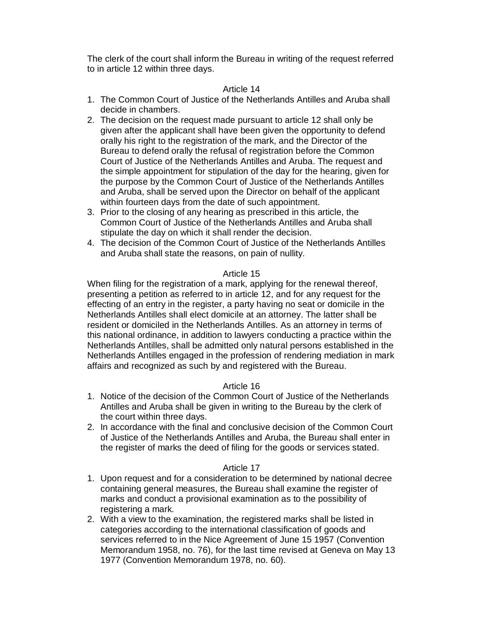The clerk of the court shall inform the Bureau in writing of the request referred to in article 12 within three days.

### Article 14

- 1. The Common Court of Justice of the Netherlands Antilles and Aruba shall decide in chambers.
- 2. The decision on the request made pursuant to article 12 shall only be given after the applicant shall have been given the opportunity to defend orally his right to the registration of the mark, and the Director of the Bureau to defend orally the refusal of registration before the Common Court of Justice of the Netherlands Antilles and Aruba. The request and the simple appointment for stipulation of the day for the hearing, given for the purpose by the Common Court of Justice of the Netherlands Antilles and Aruba, shall be served upon the Director on behalf of the applicant within fourteen days from the date of such appointment.
- 3. Prior to the closing of any hearing as prescribed in this article, the Common Court of Justice of the Netherlands Antilles and Aruba shall stipulate the day on which it shall render the decision.
- 4. The decision of the Common Court of Justice of the Netherlands Antilles and Aruba shall state the reasons, on pain of nullity.

### Article 15

When filing for the registration of a mark, applying for the renewal thereof, presenting a petition as referred to in article 12, and for any request for the effecting of an entry in the register, a party having no seat or domicile in the Netherlands Antilles shall elect domicile at an attorney. The latter shall be resident or domiciled in the Netherlands Antilles. As an attorney in terms of this national ordinance, in addition to lawyers conducting a practice within the Netherlands Antilles, shall be admitted only natural persons established in the Netherlands Antilles engaged in the profession of rendering mediation in mark affairs and recognized as such by and registered with the Bureau.

### Article 16

- 1. Notice of the decision of the Common Court of Justice of the Netherlands Antilles and Aruba shall be given in writing to the Bureau by the clerk of the court within three days.
- 2. In accordance with the final and conclusive decision of the Common Court of Justice of the Netherlands Antilles and Aruba, the Bureau shall enter in the register of marks the deed of filing for the goods or services stated.

- 1. Upon request and for a consideration to be determined by national decree containing general measures, the Bureau shall examine the register of marks and conduct a provisional examination as to the possibility of registering a mark.
- 2. With a view to the examination, the registered marks shall be listed in categories according to the international classification of goods and services referred to in the Nice Agreement of June 15 1957 (Convention Memorandum 1958, no. 76), for the last time revised at Geneva on May 13 1977 (Convention Memorandum 1978, no. 60).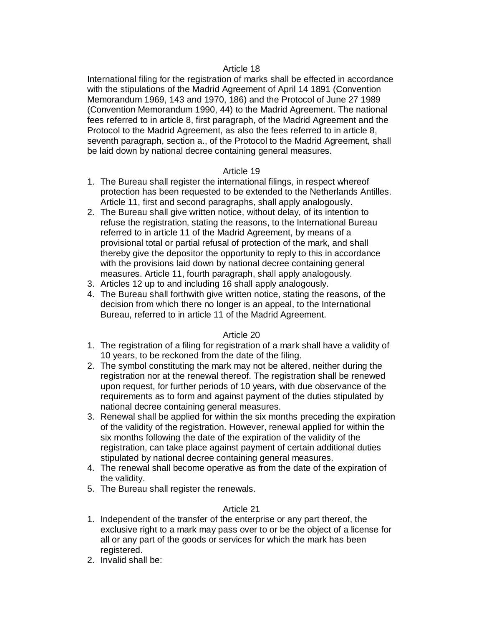International filing for the registration of marks shall be effected in accordance with the stipulations of the Madrid Agreement of April 14 1891 (Convention Memorandum 1969, 143 and 1970, 186) and the Protocol of June 27 1989 (Convention Memorandum 1990, 44) to the Madrid Agreement. The national fees referred to in article 8, first paragraph, of the Madrid Agreement and the Protocol to the Madrid Agreement, as also the fees referred to in article 8, seventh paragraph, section a., of the Protocol to the Madrid Agreement, shall be laid down by national decree containing general measures.

# Article 19

- 1. The Bureau shall register the international filings, in respect whereof protection has been requested to be extended to the Netherlands Antilles. Article 11, first and second paragraphs, shall apply analogously.
- 2. The Bureau shall give written notice, without delay, of its intention to refuse the registration, stating the reasons, to the International Bureau referred to in article 11 of the Madrid Agreement, by means of a provisional total or partial refusal of protection of the mark, and shall thereby give the depositor the opportunity to reply to this in accordance with the provisions laid down by national decree containing general measures. Article 11, fourth paragraph, shall apply analogously.
- 3. Articles 12 up to and including 16 shall apply analogously.
- 4. The Bureau shall forthwith give written notice, stating the reasons, of the decision from which there no longer is an appeal, to the International Bureau, referred to in article 11 of the Madrid Agreement.

# Article 20

- 1. The registration of a filing for registration of a mark shall have a validity of 10 years, to be reckoned from the date of the filing.
- 2. The symbol constituting the mark may not be altered, neither during the registration nor at the renewal thereof. The registration shall be renewed upon request, for further periods of 10 years, with due observance of the requirements as to form and against payment of the duties stipulated by national decree containing general measures.
- 3. Renewal shall be applied for within the six months preceding the expiration of the validity of the registration. However, renewal applied for within the six months following the date of the expiration of the validity of the registration, can take place against payment of certain additional duties stipulated by national decree containing general measures.
- 4. The renewal shall become operative as from the date of the expiration of the validity.
- 5. The Bureau shall register the renewals.

- 1. Independent of the transfer of the enterprise or any part thereof, the exclusive right to a mark may pass over to or be the object of a license for all or any part of the goods or services for which the mark has been registered.
- 2. Invalid shall be: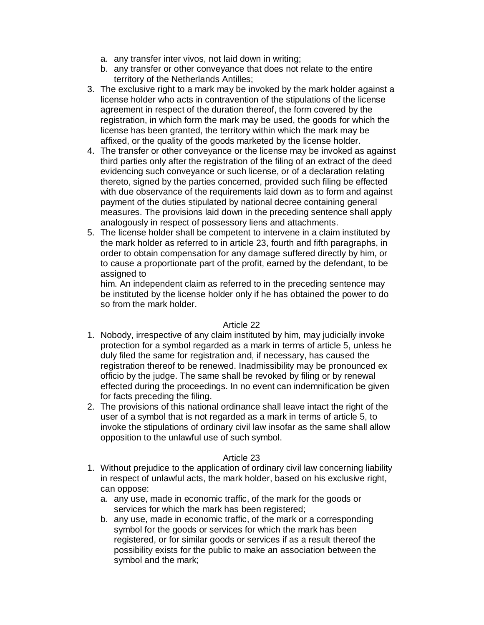- a. any transfer inter vivos, not laid down in writing;
- b. any transfer or other conveyance that does not relate to the entire territory of the Netherlands Antilles;
- 3. The exclusive right to a mark may be invoked by the mark holder against a license holder who acts in contravention of the stipulations of the license agreement in respect of the duration thereof, the form covered by the registration, in which form the mark may be used, the goods for which the license has been granted, the territory within which the mark may be affixed, or the quality of the goods marketed by the license holder.
- 4. The transfer or other conveyance or the license may be invoked as against third parties only after the registration of the filing of an extract of the deed evidencing such conveyance or such license, or of a declaration relating thereto, signed by the parties concerned, provided such filing be effected with due observance of the requirements laid down as to form and against payment of the duties stipulated by national decree containing general measures. The provisions laid down in the preceding sentence shall apply analogously in respect of possessory liens and attachments.
- 5. The license holder shall be competent to intervene in a claim instituted by the mark holder as referred to in article 23, fourth and fifth paragraphs, in order to obtain compensation for any damage suffered directly by him, or to cause a proportionate part of the profit, earned by the defendant, to be assigned to

him. An independent claim as referred to in the preceding sentence may be instituted by the license holder only if he has obtained the power to do so from the mark holder.

### Article 22

- 1. Nobody, irrespective of any claim instituted by him, may judicially invoke protection for a symbol regarded as a mark in terms of article 5, unless he duly filed the same for registration and, if necessary, has caused the registration thereof to be renewed. Inadmissibility may be pronounced ex officio by the judge. The same shall be revoked by filing or by renewal effected during the proceedings. In no event can indemnification be given for facts preceding the filing.
- 2. The provisions of this national ordinance shall leave intact the right of the user of a symbol that is not regarded as a mark in terms of article 5, to invoke the stipulations of ordinary civil law insofar as the same shall allow opposition to the unlawful use of such symbol.

- 1. Without prejudice to the application of ordinary civil law concerning liability in respect of unlawful acts, the mark holder, based on his exclusive right, can oppose:
	- a. any use, made in economic traffic, of the mark for the goods or services for which the mark has been registered;
	- b. any use, made in economic traffic, of the mark or a corresponding symbol for the goods or services for which the mark has been registered, or for similar goods or services if as a result thereof the possibility exists for the public to make an association between the symbol and the mark;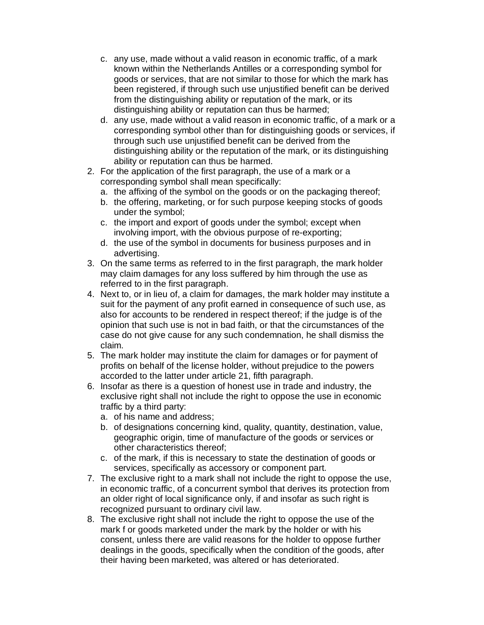- c. any use, made without a valid reason in economic traffic, of a mark known within the Netherlands Antilles or a corresponding symbol for goods or services, that are not similar to those for which the mark has been registered, if through such use unjustified benefit can be derived from the distinguishing ability or reputation of the mark, or its distinguishing ability or reputation can thus be harmed;
- d. any use, made without a valid reason in economic traffic, of a mark or a corresponding symbol other than for distinguishing goods or services, if through such use unjustified benefit can be derived from the distinguishing ability or the reputation of the mark, or its distinguishing ability or reputation can thus be harmed.
- 2. For the application of the first paragraph, the use of a mark or a corresponding symbol shall mean specifically:
	- a. the affixing of the symbol on the goods or on the packaging thereof;
	- b. the offering, marketing, or for such purpose keeping stocks of goods under the symbol;
	- c. the import and export of goods under the symbol; except when involving import, with the obvious purpose of re-exporting;
	- d. the use of the symbol in documents for business purposes and in advertising.
- 3. On the same terms as referred to in the first paragraph, the mark holder may claim damages for any loss suffered by him through the use as referred to in the first paragraph.
- 4. Next to, or in lieu of, a claim for damages, the mark holder may institute a suit for the payment of any profit earned in consequence of such use, as also for accounts to be rendered in respect thereof; if the judge is of the opinion that such use is not in bad faith, or that the circumstances of the case do not give cause for any such condemnation, he shall dismiss the claim.
- 5. The mark holder may institute the claim for damages or for payment of profits on behalf of the license holder, without prejudice to the powers accorded to the latter under article 21, fifth paragraph.
- 6. Insofar as there is a question of honest use in trade and industry, the exclusive right shall not include the right to oppose the use in economic traffic by a third party:
	- a. of his name and address;
	- b. of designations concerning kind, quality, quantity, destination, value, geographic origin, time of manufacture of the goods or services or other characteristics thereof;
	- c. of the mark, if this is necessary to state the destination of goods or services, specifically as accessory or component part.
- 7. The exclusive right to a mark shall not include the right to oppose the use, in economic traffic, of a concurrent symbol that derives its protection from an older right of local significance only, if and insofar as such right is recognized pursuant to ordinary civil law.
- 8. The exclusive right shall not include the right to oppose the use of the mark f or goods marketed under the mark by the holder or with his consent, unless there are valid reasons for the holder to oppose further dealings in the goods, specifically when the condition of the goods, after their having been marketed, was altered or has deteriorated.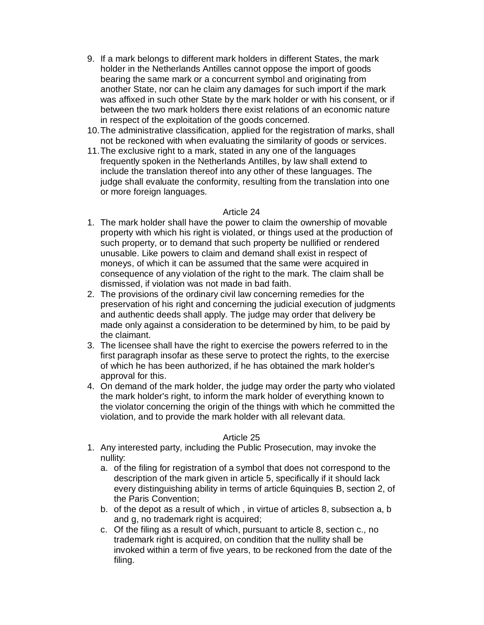- 9. If a mark belongs to different mark holders in different States, the mark holder in the Netherlands Antilles cannot oppose the import of goods bearing the same mark or a concurrent symbol and originating from another State, nor can he claim any damages for such import if the mark was affixed in such other State by the mark holder or with his consent, or if between the two mark holders there exist relations of an economic nature in respect of the exploitation of the goods concerned.
- 10.The administrative classification, applied for the registration of marks, shall not be reckoned with when evaluating the similarity of goods or services.
- 11.The exclusive right to a mark, stated in any one of the languages frequently spoken in the Netherlands Antilles, by law shall extend to include the translation thereof into any other of these languages. The judge shall evaluate the conformity, resulting from the translation into one or more foreign languages.

- 1. The mark holder shall have the power to claim the ownership of movable property with which his right is violated, or things used at the production of such property, or to demand that such property be nullified or rendered unusable. Like powers to claim and demand shall exist in respect of moneys, of which it can be assumed that the same were acquired in consequence of any violation of the right to the mark. The claim shall be dismissed, if violation was not made in bad faith.
- 2. The provisions of the ordinary civil law concerning remedies for the preservation of his right and concerning the judicial execution of judgments and authentic deeds shall apply. The judge may order that delivery be made only against a consideration to be determined by him, to be paid by the claimant.
- 3. The licensee shall have the right to exercise the powers referred to in the first paragraph insofar as these serve to protect the rights, to the exercise of which he has been authorized, if he has obtained the mark holder's approval for this.
- 4. On demand of the mark holder, the judge may order the party who violated the mark holder's right, to inform the mark holder of everything known to the violator concerning the origin of the things with which he committed the violation, and to provide the mark holder with all relevant data.

- 1. Any interested party, including the Public Prosecution, may invoke the nullity:
	- a. of the filing for registration of a symbol that does not correspond to the description of the mark given in article 5, specifically if it should lack every distinguishing ability in terms of article 6quinquies B, section 2, of the Paris Convention;
	- b. of the depot as a result of which , in virtue of articles 8, subsection a, b and g, no trademark right is acquired;
	- c. Of the filing as a result of which, pursuant to article 8, section c., no trademark right is acquired, on condition that the nullity shall be invoked within a term of five years, to be reckoned from the date of the filing.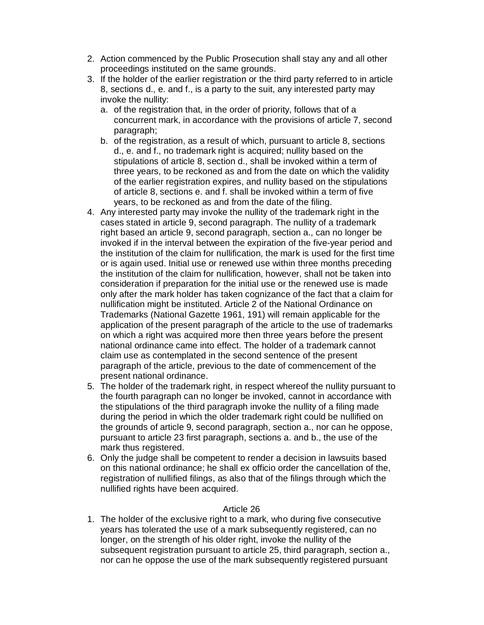- 2. Action commenced by the Public Prosecution shall stay any and all other proceedings instituted on the same grounds.
- 3. If the holder of the earlier registration or the third party referred to in article 8, sections d., e. and f., is a party to the suit, any interested party may invoke the nullity:
	- a. of the registration that, in the order of priority, follows that of a concurrent mark, in accordance with the provisions of article 7, second paragraph;
	- b. of the registration, as a result of which, pursuant to article 8, sections d., e. and f., no trademark right is acquired; nullity based on the stipulations of article 8, section d., shall be invoked within a term of three years, to be reckoned as and from the date on which the validity of the earlier registration expires, and nullity based on the stipulations of article 8, sections e. and f. shall be invoked within a term of five years, to be reckoned as and from the date of the filing.
- 4. Any interested party may invoke the nullity of the trademark right in the cases stated in article 9, second paragraph. The nullity of a trademark right based an article 9, second paragraph, section a., can no longer be invoked if in the interval between the expiration of the five-year period and the institution of the claim for nullification, the mark is used for the first time or is again used. Initial use or renewed use within three months preceding the institution of the claim for nullification, however, shall not be taken into consideration if preparation for the initial use or the renewed use is made only after the mark holder has taken cognizance of the fact that a claim for nullification might be instituted. Article 2 of the National Ordinance on Trademarks (National Gazette 1961, 191) will remain applicable for the application of the present paragraph of the article to the use of trademarks on which a right was acquired more then three years before the present national ordinance came into effect. The holder of a trademark cannot claim use as contemplated in the second sentence of the present paragraph of the article, previous to the date of commencement of the present national ordinance.
- 5. The holder of the trademark right, in respect whereof the nullity pursuant to the fourth paragraph can no longer be invoked, cannot in accordance with the stipulations of the third paragraph invoke the nullity of a filing made during the period in which the older trademark right could be nullified on the grounds of article 9, second paragraph, section a., nor can he oppose, pursuant to article 23 first paragraph, sections a. and b., the use of the mark thus registered.
- 6. Only the judge shall be competent to render a decision in lawsuits based on this national ordinance; he shall ex officio order the cancellation of the, registration of nullified filings, as also that of the filings through which the nullified rights have been acquired.

1. The holder of the exclusive right to a mark, who during five consecutive years has tolerated the use of a mark subsequently registered, can no longer, on the strength of his older right, invoke the nullity of the subsequent registration pursuant to article 25, third paragraph, section a., nor can he oppose the use of the mark subsequently registered pursuant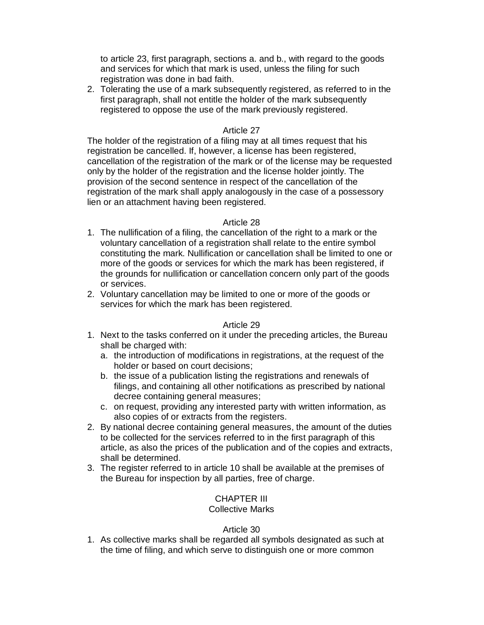to article 23, first paragraph, sections a. and b., with regard to the goods and services for which that mark is used, unless the filing for such registration was done in bad faith.

2. Tolerating the use of a mark subsequently registered, as referred to in the first paragraph, shall not entitle the holder of the mark subsequently registered to oppose the use of the mark previously registered.

# Article 27

The holder of the registration of a filing may at all times request that his registration be cancelled. If, however, a license has been registered, cancellation of the registration of the mark or of the license may be requested only by the holder of the registration and the license holder jointly. The provision of the second sentence in respect of the cancellation of the registration of the mark shall apply analogously in the case of a possessory lien or an attachment having been registered.

# Article 28

- 1. The nullification of a filing, the cancellation of the right to a mark or the voluntary cancellation of a registration shall relate to the entire symbol constituting the mark. Nullification or cancellation shall be limited to one or more of the goods or services for which the mark has been registered, if the grounds for nullification or cancellation concern only part of the goods or services.
- 2. Voluntary cancellation may be limited to one or more of the goods or services for which the mark has been registered.

### Article 29

- 1. Next to the tasks conferred on it under the preceding articles, the Bureau shall be charged with:
	- a. the introduction of modifications in registrations, at the request of the holder or based on court decisions;
	- b. the issue of a publication listing the registrations and renewals of filings, and containing all other notifications as prescribed by national decree containing general measures;
	- c. on request, providing any interested party with written information, as also copies of or extracts from the registers.
- 2. By national decree containing general measures, the amount of the duties to be collected for the services referred to in the first paragraph of this article, as also the prices of the publication and of the copies and extracts, shall be determined.
- 3. The register referred to in article 10 shall be available at the premises of the Bureau for inspection by all parties, free of charge.

# CHAPTER III

# Collective Marks

# Article 30

1. As collective marks shall be regarded all symbols designated as such at the time of filing, and which serve to distinguish one or more common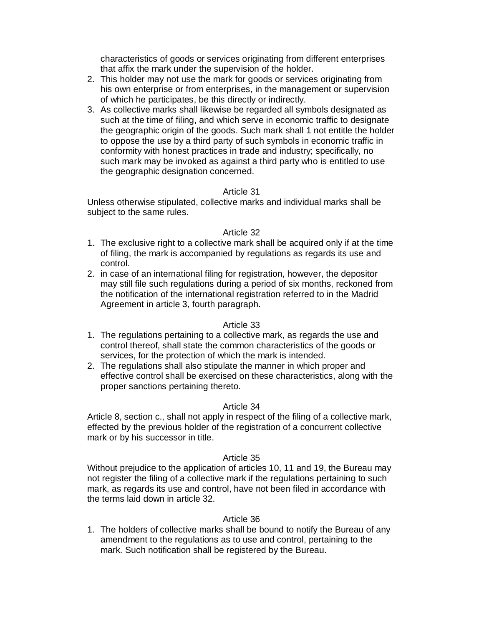characteristics of goods or services originating from different enterprises that affix the mark under the supervision of the holder.

- 2. This holder may not use the mark for goods or services originating from his own enterprise or from enterprises, in the management or supervision of which he participates, be this directly or indirectly.
- 3. As collective marks shall likewise be regarded all symbols designated as such at the time of filing, and which serve in economic traffic to designate the geographic origin of the goods. Such mark shall 1 not entitle the holder to oppose the use by a third party of such symbols in economic traffic in conformity with honest practices in trade and industry; specifically, no such mark may be invoked as against a third party who is entitled to use the geographic designation concerned.

# Article 31

Unless otherwise stipulated, collective marks and individual marks shall be subject to the same rules.

# Article 32

- 1. The exclusive right to a collective mark shall be acquired only if at the time of filing, the mark is accompanied by regulations as regards its use and control.
- 2. in case of an international filing for registration, however, the depositor may still file such regulations during a period of six months, reckoned from the notification of the international registration referred to in the Madrid Agreement in article 3, fourth paragraph.

# Article 33

- 1. The regulations pertaining to a collective mark, as regards the use and control thereof, shall state the common characteristics of the goods or services, for the protection of which the mark is intended.
- 2. The regulations shall also stipulate the manner in which proper and effective control shall be exercised on these characteristics, along with the proper sanctions pertaining thereto.

# Article 34

Article 8, section c., shall not apply in respect of the filing of a collective mark, effected by the previous holder of the registration of a concurrent collective mark or by his successor in title.

# Article 35

Without prejudice to the application of articles 10, 11 and 19, the Bureau may not register the filing of a collective mark if the regulations pertaining to such mark, as regards its use and control, have not been filed in accordance with the terms laid down in article 32.

# Article 36

1. The holders of collective marks shall be bound to notify the Bureau of any amendment to the regulations as to use and control, pertaining to the mark. Such notification shall be registered by the Bureau.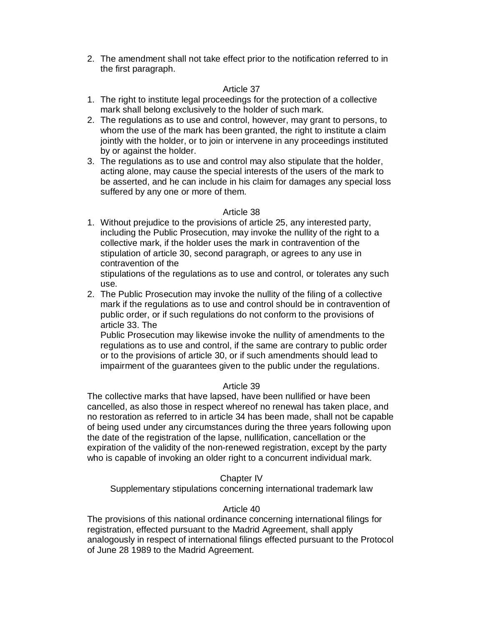2. The amendment shall not take effect prior to the notification referred to in the first paragraph.

### Article 37

- 1. The right to institute legal proceedings for the protection of a collective mark shall belong exclusively to the holder of such mark.
- 2. The regulations as to use and control, however, may grant to persons, to whom the use of the mark has been granted, the right to institute a claim jointly with the holder, or to join or intervene in any proceedings instituted by or against the holder.
- 3. The regulations as to use and control may also stipulate that the holder, acting alone, may cause the special interests of the users of the mark to be asserted, and he can include in his claim for damages any special loss suffered by any one or more of them.

# Article 38

1. Without prejudice to the provisions of article 25, any interested party, including the Public Prosecution, may invoke the nullity of the right to a collective mark, if the holder uses the mark in contravention of the stipulation of article 30, second paragraph, or agrees to any use in contravention of the

stipulations of the regulations as to use and control, or tolerates any such use.

2. The Public Prosecution may invoke the nullity of the filing of a collective mark if the regulations as to use and control should be in contravention of public order, or if such regulations do not conform to the provisions of article 33. The

Public Prosecution may likewise invoke the nullity of amendments to the regulations as to use and control, if the same are contrary to public order or to the provisions of article 30, or if such amendments should lead to impairment of the guarantees given to the public under the regulations.

# Article 39

The collective marks that have lapsed, have been nullified or have been cancelled, as also those in respect whereof no renewal has taken place, and no restoration as referred to in article 34 has been made, shall not be capable of being used under any circumstances during the three years following upon the date of the registration of the lapse, nullification, cancellation or the expiration of the validity of the non-renewed registration, except by the party who is capable of invoking an older right to a concurrent individual mark.

# Chapter IV

Supplementary stipulations concerning international trademark law

### Article 40

The provisions of this national ordinance concerning international filings for registration, effected pursuant to the Madrid Agreement, shall apply analogously in respect of international filings effected pursuant to the Protocol of June 28 1989 to the Madrid Agreement.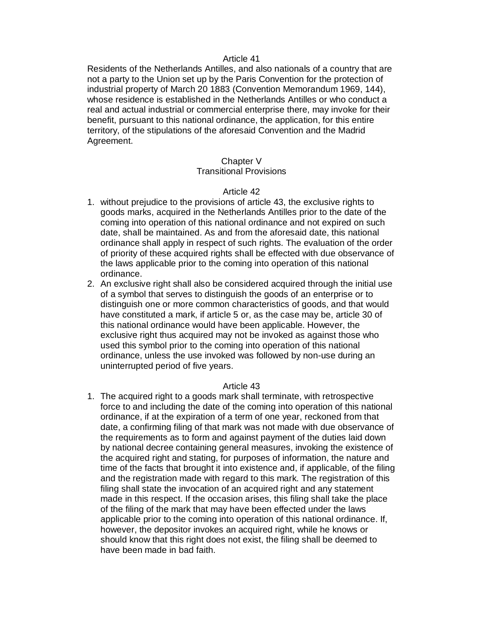Residents of the Netherlands Antilles, and also nationals of a country that are not a party to the Union set up by the Paris Convention for the protection of industrial property of March 20 1883 (Convention Memorandum 1969, 144), whose residence is established in the Netherlands Antilles or who conduct a real and actual industrial or commercial enterprise there, may invoke for their benefit, pursuant to this national ordinance, the application, for this entire territory, of the stipulations of the aforesaid Convention and the Madrid Agreement.

### Chapter V

# Transitional Provisions

### Article 42

- 1. without prejudice to the provisions of article 43, the exclusive rights to goods marks, acquired in the Netherlands Antilles prior to the date of the coming into operation of this national ordinance and not expired on such date, shall be maintained. As and from the aforesaid date, this national ordinance shall apply in respect of such rights. The evaluation of the order of priority of these acquired rights shall be effected with due observance of the laws applicable prior to the coming into operation of this national ordinance.
- 2. An exclusive right shall also be considered acquired through the initial use of a symbol that serves to distinguish the goods of an enterprise or to distinguish one or more common characteristics of goods, and that would have constituted a mark, if article 5 or, as the case may be, article 30 of this national ordinance would have been applicable. However, the exclusive right thus acquired may not be invoked as against those who used this symbol prior to the coming into operation of this national ordinance, unless the use invoked was followed by non-use during an uninterrupted period of five years.

### Article 43

1. The acquired right to a goods mark shall terminate, with retrospective force to and including the date of the coming into operation of this national ordinance, if at the expiration of a term of one year, reckoned from that date, a confirming filing of that mark was not made with due observance of the requirements as to form and against payment of the duties laid down by national decree containing general measures, invoking the existence of the acquired right and stating, for purposes of information, the nature and time of the facts that brought it into existence and, if applicable, of the filing and the registration made with regard to this mark. The registration of this filing shall state the invocation of an acquired right and any statement made in this respect. If the occasion arises, this filing shall take the place of the filing of the mark that may have been effected under the laws applicable prior to the coming into operation of this national ordinance. If, however, the depositor invokes an acquired right, while he knows or should know that this right does not exist, the filing shall be deemed to have been made in bad faith.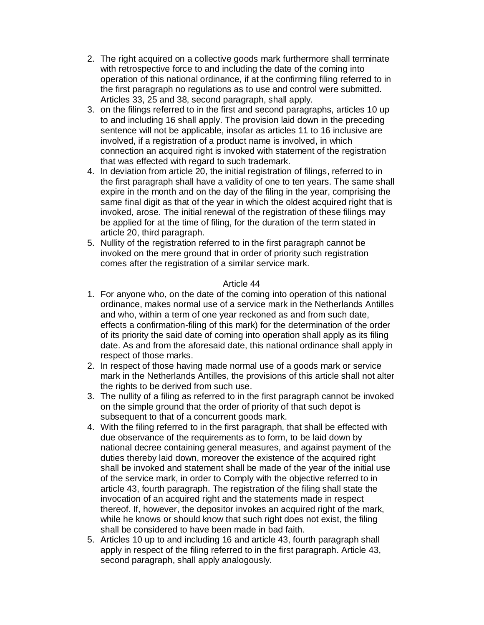- 2. The right acquired on a collective goods mark furthermore shall terminate with retrospective force to and including the date of the coming into operation of this national ordinance, if at the confirming filing referred to in the first paragraph no regulations as to use and control were submitted. Articles 33, 25 and 38, second paragraph, shall apply.
- 3. on the filings referred to in the first and second paragraphs, articles 10 up to and including 16 shall apply. The provision laid down in the preceding sentence will not be applicable, insofar as articles 11 to 16 inclusive are involved, if a registration of a product name is involved, in which connection an acquired right is invoked with statement of the registration that was effected with regard to such trademark.
- 4. In deviation from article 20, the initial registration of filings, referred to in the first paragraph shall have a validity of one to ten years. The same shall expire in the month and on the day of the filing in the year, comprising the same final digit as that of the year in which the oldest acquired right that is invoked, arose. The initial renewal of the registration of these filings may be applied for at the time of filing, for the duration of the term stated in article 20, third paragraph.
- 5. Nullity of the registration referred to in the first paragraph cannot be invoked on the mere ground that in order of priority such registration comes after the registration of a similar service mark.

- 1. For anyone who, on the date of the coming into operation of this national ordinance, makes normal use of a service mark in the Netherlands Antilles and who, within a term of one year reckoned as and from such date, effects a confirmation-filing of this mark) for the determination of the order of its priority the said date of coming into operation shall apply as its filing date. As and from the aforesaid date, this national ordinance shall apply in respect of those marks.
- 2. In respect of those having made normal use of a goods mark or service mark in the Netherlands Antilles, the provisions of this article shall not alter the rights to be derived from such use.
- 3. The nullity of a filing as referred to in the first paragraph cannot be invoked on the simple ground that the order of priority of that such depot is subsequent to that of a concurrent goods mark.
- 4. With the filing referred to in the first paragraph, that shall be effected with due observance of the requirements as to form, to be laid down by national decree containing general measures, and against payment of the duties thereby laid down, moreover the existence of the acquired right shall be invoked and statement shall be made of the year of the initial use of the service mark, in order to Comply with the objective referred to in article 43, fourth paragraph. The registration of the filing shall state the invocation of an acquired right and the statements made in respect thereof. If, however, the depositor invokes an acquired right of the mark, while he knows or should know that such right does not exist, the filing shall be considered to have been made in bad faith.
- 5. Articles 10 up to and including 16 and article 43, fourth paragraph shall apply in respect of the filing referred to in the first paragraph. Article 43, second paragraph, shall apply analogously.